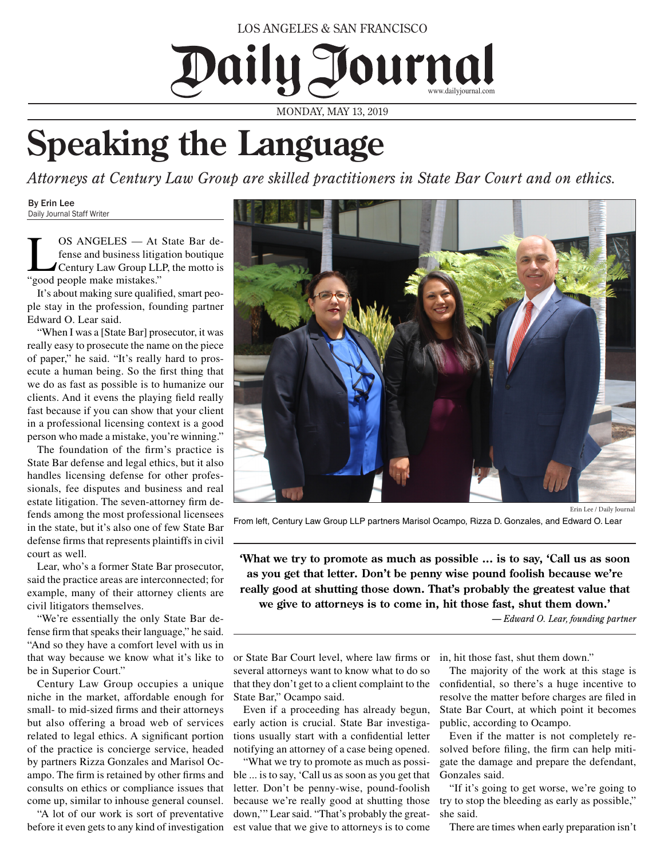LOS ANGELES & SAN FRANCISCO

Daily Journal www.dailyjournal.com

MONDAY, MAY 13, 2019

## **Speaking the Language**

*Attorneys at Century Law Group are skilled practitioners in State Bar Court and on ethics.*

By Erin Lee Daily Journal Staff Writer

**LOS ANGELES** — At State Bar de-<br>fense and business litigation boutique<br>Century Law Group LLP, the motto is<br>"sood people make mistakes." fense and business litigation boutique "good people make mistakes."

It's about making sure qualified, smart people stay in the profession, founding partner Edward O. Lear said.

"When I was a [State Bar] prosecutor, it was really easy to prosecute the name on the piece of paper," he said. "It's really hard to prosecute a human being. So the first thing that we do as fast as possible is to humanize our clients. And it evens the playing field really fast because if you can show that your client in a professional licensing context is a good person who made a mistake, you're winning."

The foundation of the firm's practice is State Bar defense and legal ethics, but it also handles licensing defense for other professionals, fee disputes and business and real estate litigation. The seven-attorney firm defends among the most professional licensees in the state, but it's also one of few State Bar defense firms that represents plaintiffs in civil court as well.

Lear, who's a former State Bar prosecutor, said the practice areas are interconnected; for example, many of their attorney clients are civil litigators themselves.

"We're essentially the only State Bar defense firm that speaks their language," he said. "And so they have a comfort level with us in that way because we know what it's like to be in Superior Court."

Century Law Group occupies a unique niche in the market, affordable enough for small- to mid-sized firms and their attorneys but also offering a broad web of services related to legal ethics. A significant portion of the practice is concierge service, headed by partners Rizza Gonzales and Marisol Ocampo. The firm is retained by other firms and consults on ethics or compliance issues that come up, similar to inhouse general counsel.

"A lot of our work is sort of preventative before it even gets to any kind of investigation



Erin Lee / Daily Journal

From left, Century Law Group LLP partners Marisol Ocampo, Rizza D. Gonzales, and Edward O. Lear

**'What we try to promote as much as possible ... is to say, 'Call us as soon as you get that letter. Don't be penny wise pound foolish because we're really good at shutting those down. That's probably the greatest value that we give to attorneys is to come in, hit those fast, shut them down.'** 

*— Edward O. Lear, founding partner*

or State Bar Court level, where law firms or in, hit those fast, shut them down." several attorneys want to know what to do so that they don't get to a client complaint to the State Bar," Ocampo said.

Even if a proceeding has already begun, early action is crucial. State Bar investigations usually start with a confidential letter notifying an attorney of a case being opened.

"What we try to promote as much as possible ... is to say, 'Call us as soon as you get that letter. Don't be penny-wise, pound-foolish because we're really good at shutting those down,'" Lear said. "That's probably the greatest value that we give to attorneys is to come

The majority of the work at this stage is confidential, so there's a huge incentive to resolve the matter before charges are filed in State Bar Court, at which point it becomes public, according to Ocampo.

Even if the matter is not completely resolved before filing, the firm can help mitigate the damage and prepare the defendant, Gonzales said.

"If it's going to get worse, we're going to try to stop the bleeding as early as possible," she said.

There are times when early preparation isn't